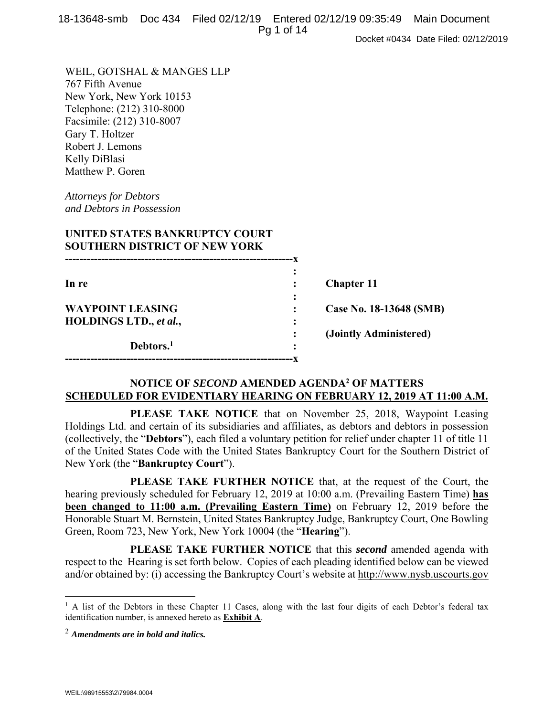|  | 18-13648-smb Doc 434 Filed 02/12/19 Entered 02/12/19 09:35:49 Main Document |  |
|--|-----------------------------------------------------------------------------|--|
|  | Pg 1 of 14                                                                  |  |

Docket #0434 Date Filed: 02/12/2019

WEIL, GOTSHAL & MANGES LLP 767 Fifth Avenue New York, New York 10153 Telephone: (212) 310-8000 Facsimile: (212) 310-8007 Gary T. Holtzer Robert J. Lemons Kelly DiBlasi Matthew P. Goren

*Attorneys for Debtors and Debtors in Possession* 

| UNITED STATES BANKRUPTCY COURT<br><b>SOUTHERN DISTRICT OF NEW YORK</b> |                         |
|------------------------------------------------------------------------|-------------------------|
|                                                                        |                         |
| In re                                                                  | <b>Chapter 11</b>       |
| <b>WAYPOINT LEASING</b>                                                | Case No. 18-13648 (SMB) |
| HOLDINGS LTD., et al.,                                                 |                         |
|                                                                        | (Jointly Administered)  |
| Debtors. <sup>1</sup>                                                  |                         |

# **NOTICE OF** *SECOND* **AMENDED AGENDA2 OF MATTERS SCHEDULED FOR EVIDENTIARY HEARING ON FEBRUARY 12, 2019 AT 11:00 A.M.**

 **PLEASE TAKE NOTICE** that on November 25, 2018, Waypoint Leasing Holdings Ltd. and certain of its subsidiaries and affiliates, as debtors and debtors in possession (collectively, the "**Debtors**"), each filed a voluntary petition for relief under chapter 11 of title 11 of the United States Code with the United States Bankruptcy Court for the Southern District of New York (the "**Bankruptcy Court**").

 **PLEASE TAKE FURTHER NOTICE** that, at the request of the Court, the hearing previously scheduled for February 12, 2019 at 10:00 a.m. (Prevailing Eastern Time) **has been changed to 11:00 a.m. (Prevailing Eastern Time)** on February 12, 2019 before the Honorable Stuart M. Bernstein, United States Bankruptcy Judge, Bankruptcy Court, One Bowling Green, Room 723, New York, New York 10004 (the "**Hearing**").

 **PLEASE TAKE FURTHER NOTICE** that this *second* amended agenda with respect to the Hearing is set forth below. Copies of each pleading identified below can be viewed and/or obtained by: (i) accessing the Bankruptcy Court's website at http://www.nysb.uscourts.gov

 $\overline{a}$ 

<sup>&</sup>lt;sup>1</sup> A list of the Debtors in these Chapter 11 Cases, along with the last four digits of each Debtor's federal tax identification number, is annexed hereto as **Exhibit A**.

<sup>2</sup> *Amendments are in bold and italics.*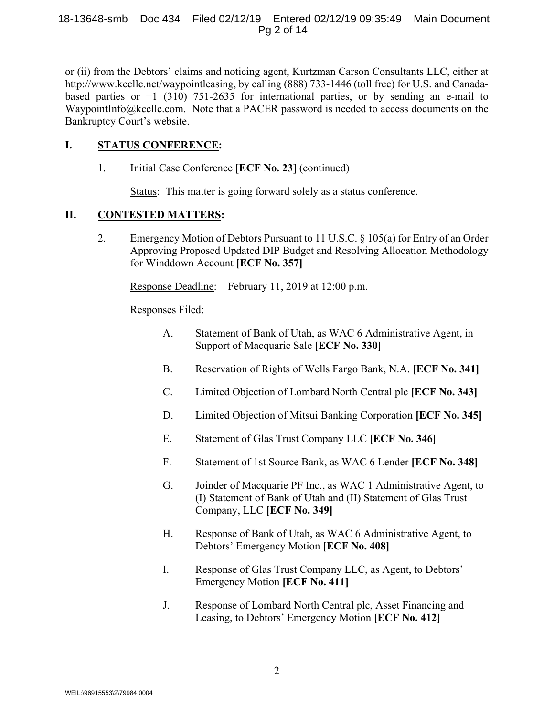### 18-13648-smb Doc 434 Filed 02/12/19 Entered 02/12/19 09:35:49 Main Document Pg 2 of 14

or (ii) from the Debtors' claims and noticing agent, Kurtzman Carson Consultants LLC, either at http://www.kccllc.net/waypointleasing, by calling (888) 733-1446 (toll free) for U.S. and Canadabased parties or  $+1$  (310) 751-2635 for international parties, or by sending an e-mail to WaypointInfo@kccllc.com. Note that a PACER password is needed to access documents on the Bankruptcy Court's website.

# **I. STATUS CONFERENCE:**

1. Initial Case Conference [**ECF No. 23**] (continued)

Status: This matter is going forward solely as a status conference.

# **II. CONTESTED MATTERS:**

2. Emergency Motion of Debtors Pursuant to 11 U.S.C. § 105(a) for Entry of an Order Approving Proposed Updated DIP Budget and Resolving Allocation Methodology for Winddown Account **[ECF No. 357]**

Response Deadline: February 11, 2019 at 12:00 p.m.

# Responses Filed:

- A. Statement of Bank of Utah, as WAC 6 Administrative Agent, in Support of Macquarie Sale **[ECF No. 330]**
- B. Reservation of Rights of Wells Fargo Bank, N.A. **[ECF No. 341]**
- C. Limited Objection of Lombard North Central plc **[ECF No. 343]**
- D. Limited Objection of Mitsui Banking Corporation **[ECF No. 345]**
- E. Statement of Glas Trust Company LLC **[ECF No. 346]**
- F. Statement of 1st Source Bank, as WAC 6 Lender **[ECF No. 348]**
- G. Joinder of Macquarie PF Inc., as WAC 1 Administrative Agent, to (I) Statement of Bank of Utah and (II) Statement of Glas Trust Company, LLC **[ECF No. 349]**
- H. Response of Bank of Utah, as WAC 6 Administrative Agent, to Debtors' Emergency Motion **[ECF No. 408]**
- I. Response of Glas Trust Company LLC, as Agent, to Debtors' Emergency Motion **[ECF No. 411]**
- J. Response of Lombard North Central plc, Asset Financing and Leasing, to Debtors' Emergency Motion **[ECF No. 412]**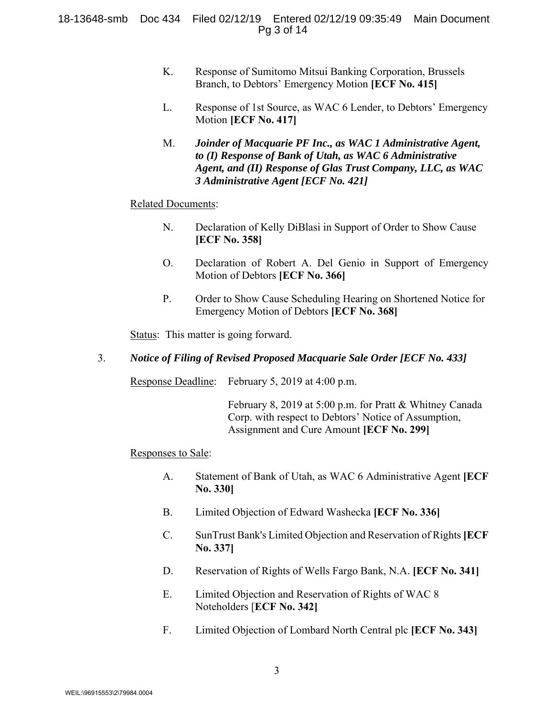### 18-13648-smb Doc 434 Filed 02/12/19 Entered 02/12/19 09:35:49 Main Document Pg 3 of 14

- K. Response of Sumitomo Mitsui Banking Corporation, Brussels Branch, to Debtors' Emergency Motion **[ECF No. 415]**
- L. Response of 1st Source, as WAC 6 Lender, to Debtors' Emergency Motion **[ECF No. 417]**
- M. *Joinder of Macquarie PF Inc., as WAC 1 Administrative Agent, to (I) Response of Bank of Utah, as WAC 6 Administrative Agent, and (II) Response of Glas Trust Company, LLC, as WAC 3 Administrative Agent [ECF No. 421]*

### Related Documents:

- N. Declaration of Kelly DiBlasi in Support of Order to Show Cause **[ECF No. 358]**
- O. Declaration of Robert A. Del Genio in Support of Emergency Motion of Debtors **[ECF No. 366]**
- P. Order to Show Cause Scheduling Hearing on Shortened Notice for Emergency Motion of Debtors **[ECF No. 368]**

Status: This matter is going forward.

### 3. *Notice of Filing of Revised Proposed Macquarie Sale Order [ECF No. 433]*

Response Deadline: February 5, 2019 at 4:00 p.m.

 February 8, 2019 at 5:00 p.m. for Pratt & Whitney Canada Corp. with respect to Debtors' Notice of Assumption, Assignment and Cure Amount **[ECF No. 299]**

#### Responses to Sale:

- A. Statement of Bank of Utah, as WAC 6 Administrative Agent **[ECF No. 330]**
- B. Limited Objection of Edward Washecka **[ECF No. 336]**
- C. SunTrust Bank's Limited Objection and Reservation of Rights**[ECF No. 337]**
- D. Reservation of Rights of Wells Fargo Bank, N.A. **[ECF No. 341]**
- E. Limited Objection and Reservation of Rights of WAC 8 Noteholders [**ECF No. 342]**
- F. Limited Objection of Lombard North Central plc **[ECF No. 343]**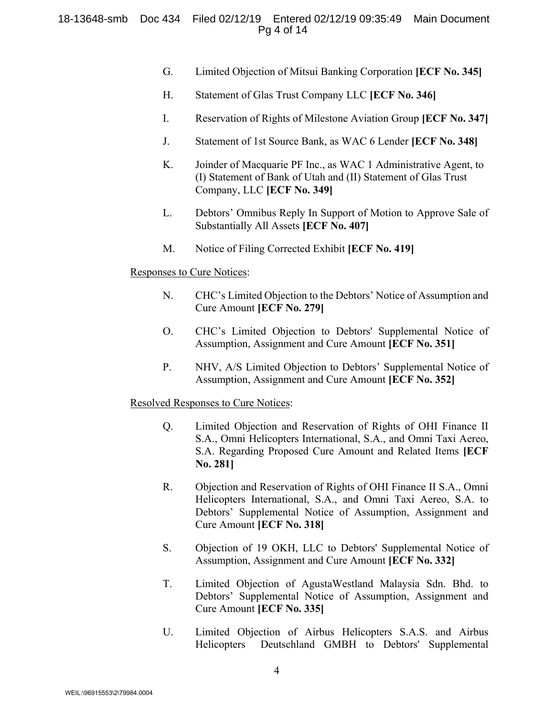### 18-13648-smb Doc 434 Filed 02/12/19 Entered 02/12/19 09:35:49 Main Document Pg 4 of 14

- G. Limited Objection of Mitsui Banking Corporation **[ECF No. 345]**
- H. Statement of Glas Trust Company LLC **[ECF No. 346]**
- I. Reservation of Rights of Milestone Aviation Group **[ECF No. 347]**
- J. Statement of 1st Source Bank, as WAC 6 Lender **[ECF No. 348]**
- K. Joinder of Macquarie PF Inc., as WAC 1 Administrative Agent, to (I) Statement of Bank of Utah and (II) Statement of Glas Trust Company, LLC **[ECF No. 349]**
- L. Debtors' Omnibus Reply In Support of Motion to Approve Sale of Substantially All Assets **[ECF No. 407]**
- M. Notice of Filing Corrected Exhibit **[ECF No. 419]**

#### Responses to Cure Notices:

- N. CHC's Limited Objection to the Debtors' Notice of Assumption and Cure Amount **[ECF No. 279]**
- O. CHC's Limited Objection to Debtors' Supplemental Notice of Assumption, Assignment and Cure Amount **[ECF No. 351]**
- P. NHV, A/S Limited Objection to Debtors' Supplemental Notice of Assumption, Assignment and Cure Amount **[ECF No. 352]**

#### Resolved Responses to Cure Notices:

- Q. Limited Objection and Reservation of Rights of OHI Finance II S.A., Omni Helicopters International, S.A., and Omni Taxi Aereo, S.A. Regarding Proposed Cure Amount and Related Items **[ECF No. 281]**
- R. Objection and Reservation of Rights of OHI Finance II S.A., Omni Helicopters International, S.A., and Omni Taxi Aereo, S.A. to Debtors' Supplemental Notice of Assumption, Assignment and Cure Amount **[ECF No. 318]**
- S. Objection of 19 OKH, LLC to Debtors' Supplemental Notice of Assumption, Assignment and Cure Amount **[ECF No. 332]**
- T. Limited Objection of AgustaWestland Malaysia Sdn. Bhd. to Debtors' Supplemental Notice of Assumption, Assignment and Cure Amount **[ECF No. 335]**
- U. Limited Objection of Airbus Helicopters S.A.S. and Airbus Helicopters Deutschland GMBH to Debtors' Supplemental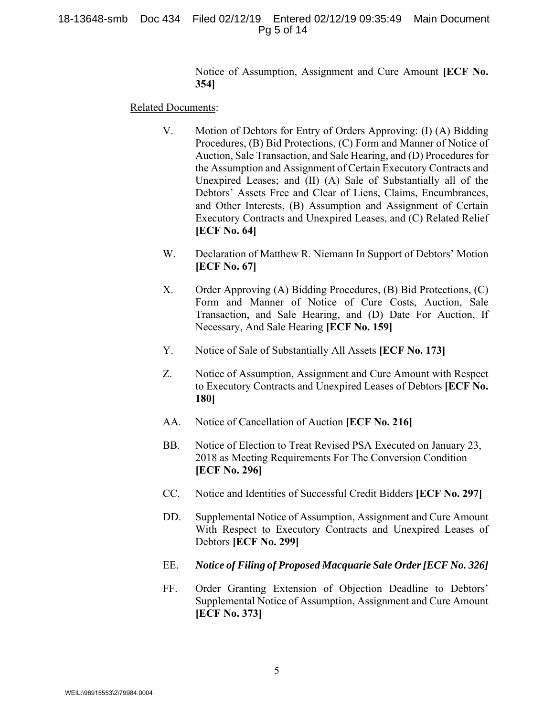#### 18-13648-smb Doc 434 Filed 02/12/19 Entered 02/12/19 09:35:49 Main Document Pg 5 of 14

Notice of Assumption, Assignment and Cure Amount **[ECF No. 354]** 

#### Related Documents:

- V. Motion of Debtors for Entry of Orders Approving: (I) (A) Bidding Procedures, (B) Bid Protections, (C) Form and Manner of Notice of Auction, Sale Transaction, and Sale Hearing, and (D) Procedures for the Assumption and Assignment of Certain Executory Contracts and Unexpired Leases; and (II) (A) Sale of Substantially all of the Debtors' Assets Free and Clear of Liens, Claims, Encumbrances, and Other Interests, (B) Assumption and Assignment of Certain Executory Contracts and Unexpired Leases, and (C) Related Relief **[ECF No. 64]**
- W. Declaration of Matthew R. Niemann In Support of Debtors' Motion **[ECF No. 67]**
- X. Order Approving (A) Bidding Procedures, (B) Bid Protections, (C) Form and Manner of Notice of Cure Costs, Auction, Sale Transaction, and Sale Hearing, and (D) Date For Auction, If Necessary, And Sale Hearing **[ECF No. 159]**
- Y. Notice of Sale of Substantially All Assets **[ECF No. 173]**
- Z. Notice of Assumption, Assignment and Cure Amount with Respect to Executory Contracts and Unexpired Leases of Debtors **[ECF No. 180]**
- AA. Notice of Cancellation of Auction **[ECF No. 216]**
- BB. Notice of Election to Treat Revised PSA Executed on January 23, 2018 as Meeting Requirements For The Conversion Condition **[ECF No. 296]**
- CC. Notice and Identities of Successful Credit Bidders **[ECF No. 297]**
- DD. Supplemental Notice of Assumption, Assignment and Cure Amount With Respect to Executory Contracts and Unexpired Leases of Debtors **[ECF No. 299]**
- EE. *Notice of Filing of Proposed Macquarie Sale Order [ECF No. 326]*
- FF. Order Granting Extension of Objection Deadline to Debtors' Supplemental Notice of Assumption, Assignment and Cure Amount **[ECF No. 373]**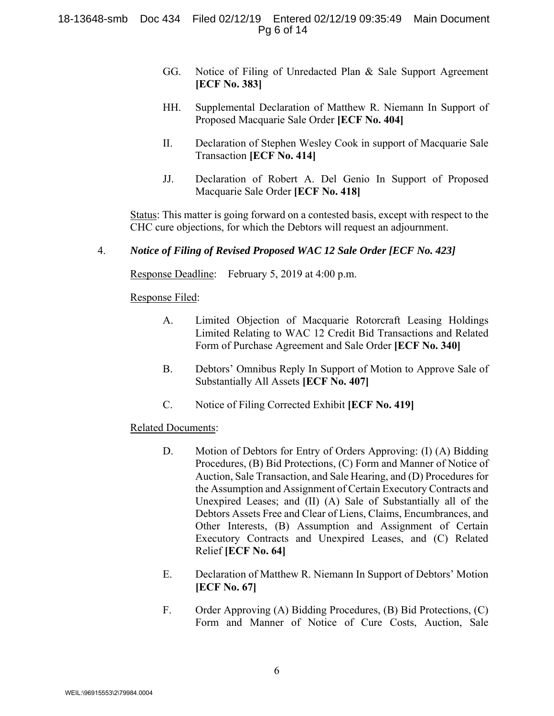### 18-13648-smb Doc 434 Filed 02/12/19 Entered 02/12/19 09:35:49 Main Document Pg 6 of 14

- GG. Notice of Filing of Unredacted Plan & Sale Support Agreement **[ECF No. 383]**
- HH. Supplemental Declaration of Matthew R. Niemann In Support of Proposed Macquarie Sale Order **[ECF No. 404]**
- II. Declaration of Stephen Wesley Cook in support of Macquarie Sale Transaction **[ECF No. 414]**
- JJ. Declaration of Robert A. Del Genio In Support of Proposed Macquarie Sale Order **[ECF No. 418]**

Status: This matter is going forward on a contested basis, except with respect to the CHC cure objections, for which the Debtors will request an adjournment.

# 4. *Notice of Filing of Revised Proposed WAC 12 Sale Order [ECF No. 423]*

Response Deadline: February 5, 2019 at 4:00 p.m.

### Response Filed:

- A. Limited Objection of Macquarie Rotorcraft Leasing Holdings Limited Relating to WAC 12 Credit Bid Transactions and Related Form of Purchase Agreement and Sale Order **[ECF No. 340]**
- B. Debtors' Omnibus Reply In Support of Motion to Approve Sale of Substantially All Assets **[ECF No. 407]**
- C. Notice of Filing Corrected Exhibit **[ECF No. 419]**

### Related Documents:

- D. Motion of Debtors for Entry of Orders Approving: (I) (A) Bidding Procedures, (B) Bid Protections, (C) Form and Manner of Notice of Auction, Sale Transaction, and Sale Hearing, and (D) Procedures for the Assumption and Assignment of Certain Executory Contracts and Unexpired Leases; and (II) (A) Sale of Substantially all of the Debtors Assets Free and Clear of Liens, Claims, Encumbrances, and Other Interests, (B) Assumption and Assignment of Certain Executory Contracts and Unexpired Leases, and (C) Related Relief **[ECF No. 64]**
- E. Declaration of Matthew R. Niemann In Support of Debtors' Motion **[ECF No. 67]**
- F. Order Approving (A) Bidding Procedures, (B) Bid Protections, (C) Form and Manner of Notice of Cure Costs, Auction, Sale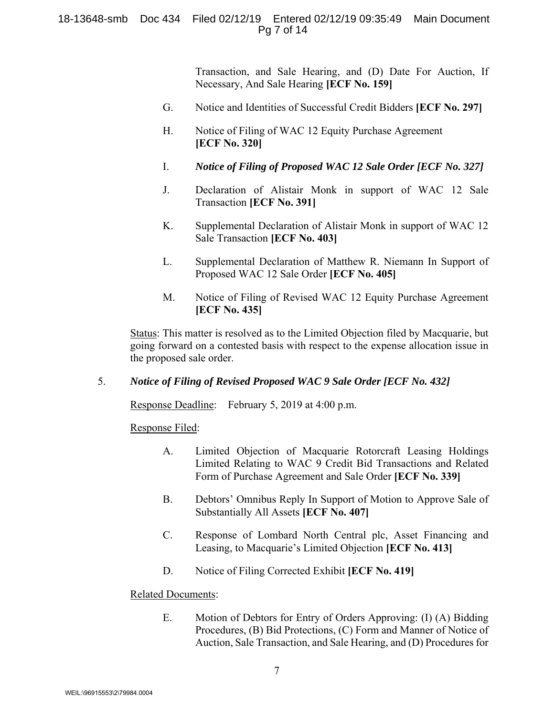### 18-13648-smb Doc 434 Filed 02/12/19 Entered 02/12/19 09:35:49 Main Document Pg 7 of 14

Transaction, and Sale Hearing, and (D) Date For Auction, If Necessary, And Sale Hearing **[ECF No. 159]**

- G. Notice and Identities of Successful Credit Bidders **[ECF No. 297]**
- H. Notice of Filing of WAC 12 Equity Purchase Agreement **[ECF No. 320]**
- I. *Notice of Filing of Proposed WAC 12 Sale Order [ECF No. 327]*
- J. Declaration of Alistair Monk in support of WAC 12 Sale Transaction **[ECF No. 391]**
- K. Supplemental Declaration of Alistair Monk in support of WAC 12 Sale Transaction **[ECF No. 403]**
- L. Supplemental Declaration of Matthew R. Niemann In Support of Proposed WAC 12 Sale Order **[ECF No. 405]**
- M. Notice of Filing of Revised WAC 12 Equity Purchase Agreement **[ECF No. 435]**

Status: This matter is resolved as to the Limited Objection filed by Macquarie, but going forward on a contested basis with respect to the expense allocation issue in the proposed sale order.

### 5. *Notice of Filing of Revised Proposed WAC 9 Sale Order [ECF No. 432]*

Response Deadline: February 5, 2019 at 4:00 p.m.

Response Filed:

- A. Limited Objection of Macquarie Rotorcraft Leasing Holdings Limited Relating to WAC 9 Credit Bid Transactions and Related Form of Purchase Agreement and Sale Order **[ECF No. 339]**
- B. Debtors' Omnibus Reply In Support of Motion to Approve Sale of Substantially All Assets **[ECF No. 407]**
- C. Response of Lombard North Central plc, Asset Financing and Leasing, to Macquarie's Limited Objection **[ECF No. 413]**
- D. Notice of Filing Corrected Exhibit **[ECF No. 419]**

### Related Documents:

E. Motion of Debtors for Entry of Orders Approving: (I) (A) Bidding Procedures, (B) Bid Protections, (C) Form and Manner of Notice of Auction, Sale Transaction, and Sale Hearing, and (D) Procedures for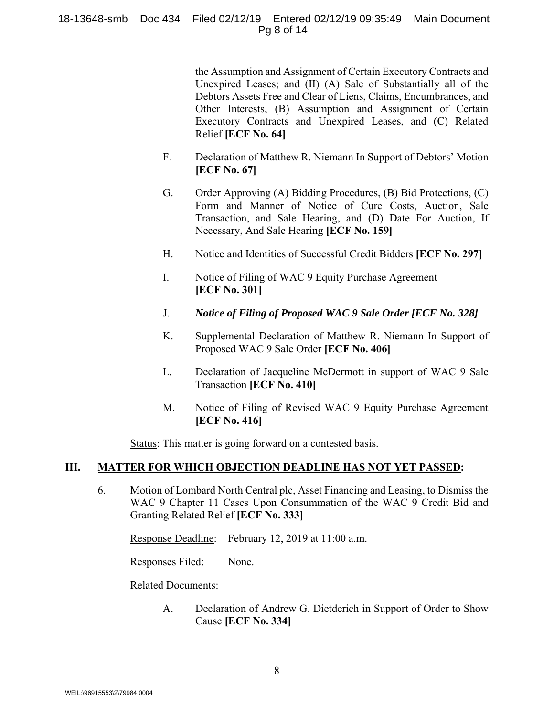### 18-13648-smb Doc 434 Filed 02/12/19 Entered 02/12/19 09:35:49 Main Document Pg 8 of 14

the Assumption and Assignment of Certain Executory Contracts and Unexpired Leases; and (II) (A) Sale of Substantially all of the Debtors Assets Free and Clear of Liens, Claims, Encumbrances, and Other Interests, (B) Assumption and Assignment of Certain Executory Contracts and Unexpired Leases, and (C) Related Relief **[ECF No. 64]**

- F. Declaration of Matthew R. Niemann In Support of Debtors' Motion **[ECF No. 67]**
- G. Order Approving (A) Bidding Procedures, (B) Bid Protections, (C) Form and Manner of Notice of Cure Costs, Auction, Sale Transaction, and Sale Hearing, and (D) Date For Auction, If Necessary, And Sale Hearing **[ECF No. 159]**
- H. Notice and Identities of Successful Credit Bidders **[ECF No. 297]**
- I. Notice of Filing of WAC 9 Equity Purchase Agreement **[ECF No. 301]**
- J. *Notice of Filing of Proposed WAC 9 Sale Order [ECF No. 328]*
- K. Supplemental Declaration of Matthew R. Niemann In Support of Proposed WAC 9 Sale Order **[ECF No. 406]**
- L. Declaration of Jacqueline McDermott in support of WAC 9 Sale Transaction **[ECF No. 410]**
- M. Notice of Filing of Revised WAC 9 Equity Purchase Agreement **[ECF No. 416]**

Status: This matter is going forward on a contested basis.

### **III. MATTER FOR WHICH OBJECTION DEADLINE HAS NOT YET PASSED:**

6. Motion of Lombard North Central plc, Asset Financing and Leasing, to Dismiss the WAC 9 Chapter 11 Cases Upon Consummation of the WAC 9 Credit Bid and Granting Related Relief **[ECF No. 333]**

Response Deadline: February 12, 2019 at 11:00 a.m.

Responses Filed: None.

Related Documents:

 A. Declaration of Andrew G. Dietderich in Support of Order to Show Cause **[ECF No. 334]**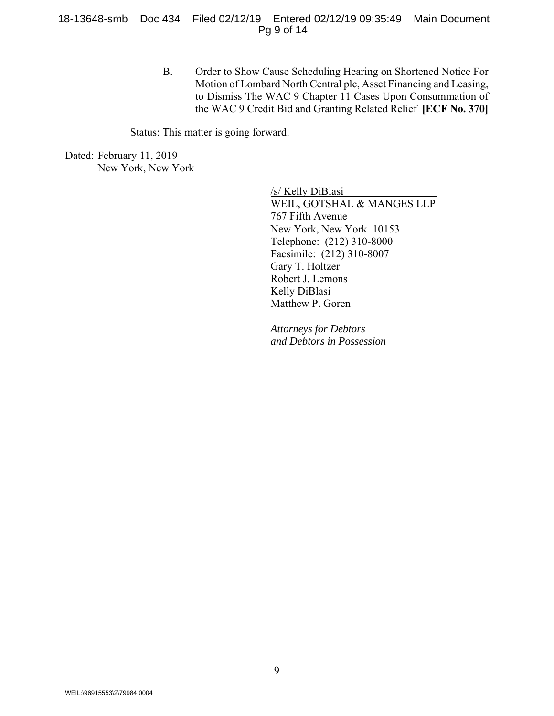#### 18-13648-smb Doc 434 Filed 02/12/19 Entered 02/12/19 09:35:49 Main Document Pg 9 of 14

B. Order to Show Cause Scheduling Hearing on Shortened Notice For Motion of Lombard North Central plc, Asset Financing and Leasing, to Dismiss The WAC 9 Chapter 11 Cases Upon Consummation of the WAC 9 Credit Bid and Granting Related Relief **[ECF No. 370]** 

Status: This matter is going forward.

Dated: February 11, 2019 New York, New York

> /s/ Kelly DiBlasi WEIL, GOTSHAL & MANGES LLP 767 Fifth Avenue New York, New York 10153 Telephone: (212) 310-8000 Facsimile: (212) 310-8007 Gary T. Holtzer Robert J. Lemons Kelly DiBlasi Matthew P. Goren

*Attorneys for Debtors and Debtors in Possession*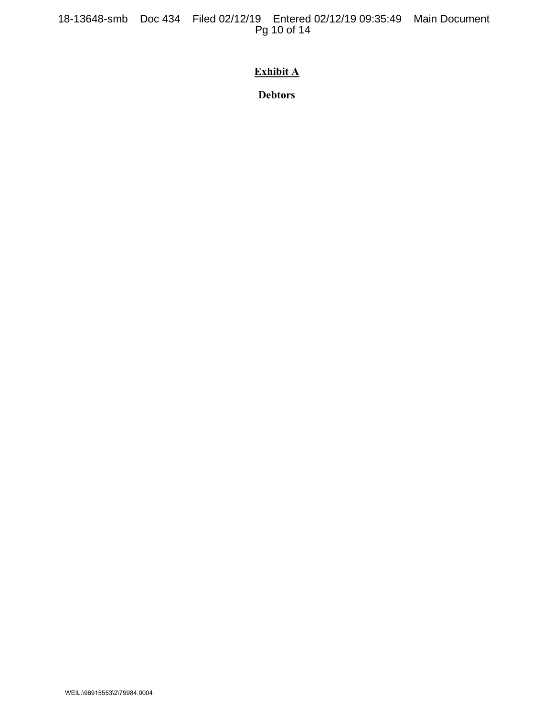18-13648-smb Doc 434 Filed 02/12/19 Entered 02/12/19 09:35:49 Main Document Pg 10 of 14

# **Exhibit A**

**Debtors**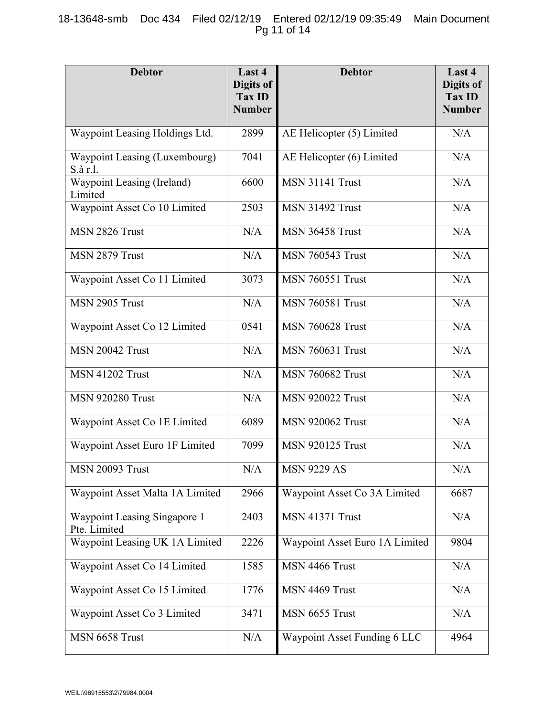# 18-13648-smb Doc 434 Filed 02/12/19 Entered 02/12/19 09:35:49 Main Document Pg 11 of 14

| <b>Debtor</b>                                | Last 4<br>Digits of<br>Tax ID<br><b>Number</b> | <b>Debtor</b>                       | Last 4<br>Digits of<br><b>Tax ID</b><br><b>Number</b> |
|----------------------------------------------|------------------------------------------------|-------------------------------------|-------------------------------------------------------|
| Waypoint Leasing Holdings Ltd.               | 2899                                           | AE Helicopter (5) Limited           | N/A                                                   |
| Waypoint Leasing (Luxembourg)<br>S.à r.l.    | 7041                                           | AE Helicopter (6) Limited           | N/A                                                   |
| Waypoint Leasing (Ireland)<br>Limited        | 6600                                           | <b>MSN 31141 Trust</b>              | N/A                                                   |
| Waypoint Asset Co 10 Limited                 | 2503                                           | <b>MSN 31492 Trust</b>              | N/A                                                   |
| MSN 2826 Trust                               | N/A                                            | <b>MSN 36458 Trust</b>              | N/A                                                   |
| MSN 2879 Trust                               | N/A                                            | <b>MSN 760543 Trust</b>             | N/A                                                   |
| Waypoint Asset Co 11 Limited                 | 3073                                           | <b>MSN 760551 Trust</b>             | N/A                                                   |
| MSN 2905 Trust                               | N/A                                            | <b>MSN 760581 Trust</b>             | N/A                                                   |
| Waypoint Asset Co 12 Limited                 | 0541                                           | <b>MSN 760628 Trust</b>             | N/A                                                   |
| <b>MSN 20042 Trust</b>                       | N/A                                            | <b>MSN 760631 Trust</b>             | N/A                                                   |
| <b>MSN 41202 Trust</b>                       | N/A                                            | <b>MSN 760682 Trust</b>             | N/A                                                   |
| <b>MSN 920280 Trust</b>                      | N/A                                            | <b>MSN 920022 Trust</b>             | N/A                                                   |
| Waypoint Asset Co 1E Limited                 | 6089                                           | <b>MSN 920062 Trust</b>             | N/A                                                   |
| Waypoint Asset Euro 1F Limited               | 7099                                           | <b>MSN 920125 Trust</b>             | N/A                                                   |
| <b>MSN 20093 Trust</b>                       | N/A                                            | <b>MSN 9229 AS</b>                  | $\rm N/A$                                             |
| Waypoint Asset Malta 1A Limited              | 2966                                           | Waypoint Asset Co 3A Limited        | 6687                                                  |
| Waypoint Leasing Singapore 1<br>Pte. Limited | 2403                                           | <b>MSN 41371 Trust</b>              | N/A                                                   |
| Waypoint Leasing UK 1A Limited               | 2226                                           | Waypoint Asset Euro 1A Limited      | 9804                                                  |
| Waypoint Asset Co 14 Limited                 | 1585                                           | MSN 4466 Trust                      | N/A                                                   |
| Waypoint Asset Co 15 Limited                 | 1776                                           | MSN 4469 Trust                      | N/A                                                   |
| Waypoint Asset Co 3 Limited                  | 3471                                           | MSN 6655 Trust                      | N/A                                                   |
| MSN 6658 Trust                               | N/A                                            | <b>Waypoint Asset Funding 6 LLC</b> | 4964                                                  |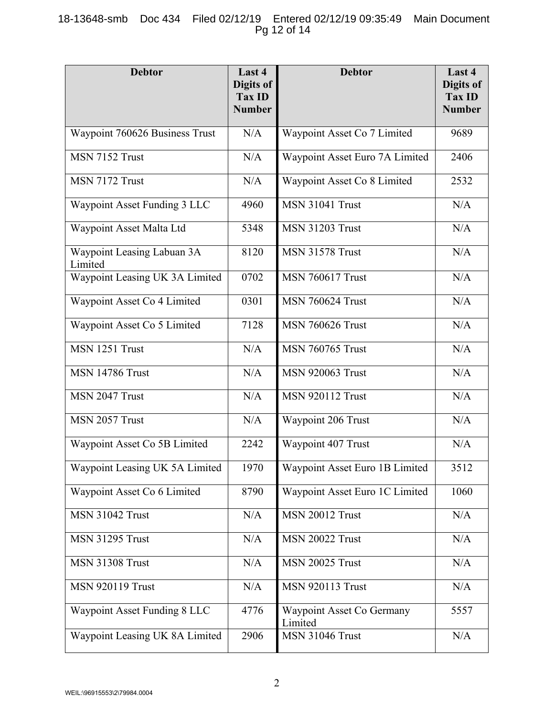# 18-13648-smb Doc 434 Filed 02/12/19 Entered 02/12/19 09:35:49 Main Document Pg 12 of 14

| <b>Debtor</b>                         | Last 4<br><b>Digits of</b><br>Tax ID | <b>Debtor</b>                        | Last 4<br>Digits of<br>Tax ID |
|---------------------------------------|--------------------------------------|--------------------------------------|-------------------------------|
|                                       | <b>Number</b>                        |                                      | <b>Number</b>                 |
| Waypoint 760626 Business Trust        | N/A                                  | Waypoint Asset Co 7 Limited          | 9689                          |
| MSN 7152 Trust                        | N/A                                  | Waypoint Asset Euro 7A Limited       | 2406                          |
| MSN 7172 Trust                        | N/A                                  | Waypoint Asset Co 8 Limited          | 2532                          |
| Waypoint Asset Funding 3 LLC          | 4960                                 | <b>MSN 31041 Trust</b>               | N/A                           |
| Waypoint Asset Malta Ltd              | 5348                                 | <b>MSN 31203 Trust</b>               | N/A                           |
| Waypoint Leasing Labuan 3A<br>Limited | 8120                                 | <b>MSN 31578 Trust</b>               | N/A                           |
| Waypoint Leasing UK 3A Limited        | 0702                                 | <b>MSN 760617 Trust</b>              | N/A                           |
| Waypoint Asset Co 4 Limited           | 0301                                 | <b>MSN 760624 Trust</b>              | N/A                           |
| Waypoint Asset Co 5 Limited           | 7128                                 | <b>MSN 760626 Trust</b>              | N/A                           |
| MSN 1251 Trust                        | N/A                                  | <b>MSN 760765 Trust</b>              | N/A                           |
| <b>MSN 14786 Trust</b>                | N/A                                  | <b>MSN 920063 Trust</b>              | N/A                           |
| MSN 2047 Trust                        | N/A                                  | <b>MSN 920112 Trust</b>              | N/A                           |
| MSN 2057 Trust                        | N/A                                  | Waypoint 206 Trust                   | N/A                           |
| Waypoint Asset Co 5B Limited          | 2242                                 | Waypoint 407 Trust                   | N/A                           |
| Waypoint Leasing UK 5A Limited        | 1970                                 | Waypoint Asset Euro 1B Limited       | 3512                          |
| Waypoint Asset Co 6 Limited           | 8790                                 | Waypoint Asset Euro 1C Limited       | 1060                          |
| <b>MSN 31042 Trust</b>                | N/A                                  | <b>MSN 20012 Trust</b>               | N/A                           |
| <b>MSN 31295 Trust</b>                | N/A                                  | <b>MSN 20022 Trust</b>               | N/A                           |
| <b>MSN 31308 Trust</b>                | N/A                                  | <b>MSN 20025 Trust</b>               | N/A                           |
| <b>MSN 920119 Trust</b>               | N/A                                  | <b>MSN 920113 Trust</b>              | N/A                           |
| Waypoint Asset Funding 8 LLC          | 4776                                 | Waypoint Asset Co Germany<br>Limited | 5557                          |
| Waypoint Leasing UK 8A Limited        | 2906                                 | MSN 31046 Trust                      | N/A                           |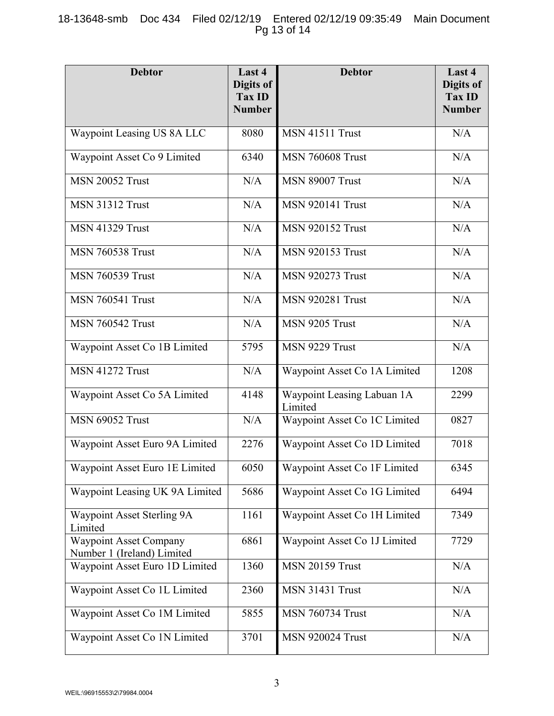# 18-13648-smb Doc 434 Filed 02/12/19 Entered 02/12/19 09:35:49 Main Document Pg 13 of 14

| <b>Debtor</b>                                               | Last 4<br>Digits of<br>Tax ID<br><b>Number</b> | <b>Debtor</b>                         | Last 4<br>Digits of<br>Tax ID<br><b>Number</b> |
|-------------------------------------------------------------|------------------------------------------------|---------------------------------------|------------------------------------------------|
| Waypoint Leasing US 8A LLC                                  | 8080                                           | MSN 41511 Trust                       | N/A                                            |
| Waypoint Asset Co 9 Limited                                 | 6340                                           | <b>MSN 760608 Trust</b>               | N/A                                            |
| <b>MSN 20052 Trust</b>                                      | N/A                                            | <b>MSN 89007 Trust</b>                | N/A                                            |
| <b>MSN 31312 Trust</b>                                      | N/A                                            | <b>MSN 920141 Trust</b>               | N/A                                            |
| <b>MSN 41329 Trust</b>                                      | N/A                                            | <b>MSN 920152 Trust</b>               | N/A                                            |
| <b>MSN 760538 Trust</b>                                     | N/A                                            | <b>MSN 920153 Trust</b>               | N/A                                            |
| <b>MSN 760539 Trust</b>                                     | N/A                                            | <b>MSN 920273 Trust</b>               | N/A                                            |
| <b>MSN 760541 Trust</b>                                     | N/A                                            | <b>MSN 920281 Trust</b>               | N/A                                            |
| <b>MSN 760542 Trust</b>                                     | N/A                                            | MSN 9205 Trust                        | N/A                                            |
| Waypoint Asset Co 1B Limited                                | 5795                                           | MSN 9229 Trust                        | N/A                                            |
| <b>MSN 41272 Trust</b>                                      | N/A                                            | Waypoint Asset Co 1A Limited          | 1208                                           |
| Waypoint Asset Co 5A Limited                                | 4148                                           | Waypoint Leasing Labuan 1A<br>Limited | 2299                                           |
| <b>MSN 69052 Trust</b>                                      | N/A                                            | Waypoint Asset Co 1C Limited          | 0827                                           |
| Waypoint Asset Euro 9A Limited                              | 2276                                           | Waypoint Asset Co 1D Limited          | 7018                                           |
| Waypoint Asset Euro 1E Limited                              | 6050                                           | Waypoint Asset Co 1F Limited          | 6345                                           |
| Waypoint Leasing UK 9A Limited                              | 5686                                           | Waypoint Asset Co 1G Limited          | 6494                                           |
| Waypoint Asset Sterling 9A<br>Limited                       | 1161                                           | Waypoint Asset Co 1H Limited          | 7349                                           |
| <b>Waypoint Asset Company</b><br>Number 1 (Ireland) Limited | 6861                                           | Waypoint Asset Co 1J Limited          | 7729                                           |
| Waypoint Asset Euro 1D Limited                              | 1360                                           | <b>MSN 20159 Trust</b>                | N/A                                            |
| Waypoint Asset Co 1L Limited                                | 2360                                           | <b>MSN 31431 Trust</b>                | N/A                                            |
| Waypoint Asset Co 1M Limited                                | 5855                                           | <b>MSN 760734 Trust</b>               | N/A                                            |
| Waypoint Asset Co 1N Limited                                | 3701                                           | <b>MSN 920024 Trust</b>               | N/A                                            |